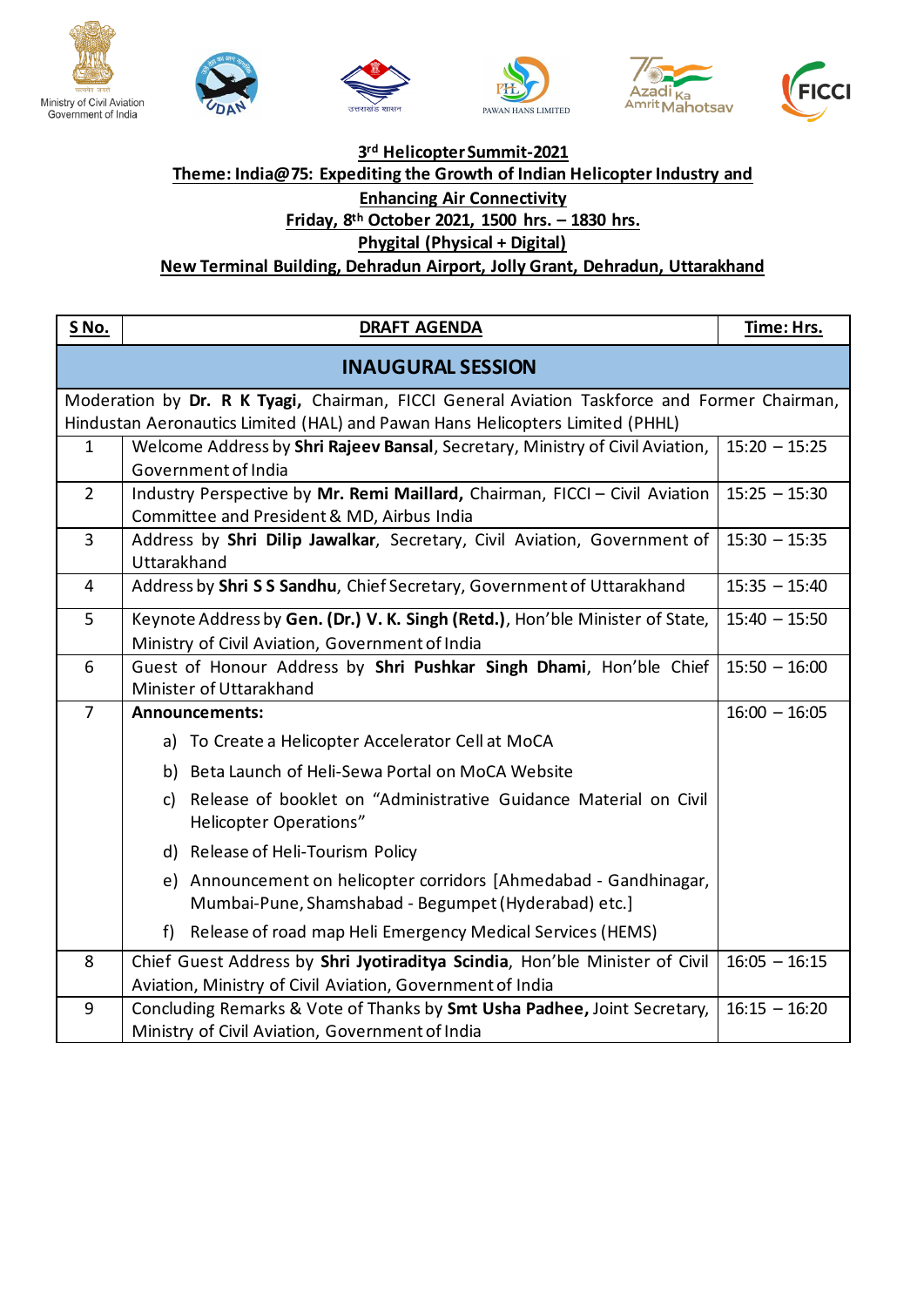









## **3 rd Helicopter Summit-2021 Theme: India@75: Expediting the Growth of Indian Helicopter Industry and Enhancing Air Connectivity Friday, 8 th October 2021, 1500 hrs. – 1830 hrs. Phygital (Physical + Digital)**

**New Terminal Building, Dehradun Airport, Jolly Grant, Dehradun, Uttarakhand**

| <u>S No.</u>                                                                                                                                                                  | <b>DRAFT AGENDA</b>                                                                                                                      | Time: Hrs.      |  |
|-------------------------------------------------------------------------------------------------------------------------------------------------------------------------------|------------------------------------------------------------------------------------------------------------------------------------------|-----------------|--|
| <b>INAUGURAL SESSION</b>                                                                                                                                                      |                                                                                                                                          |                 |  |
| Moderation by Dr. R K Tyagi, Chairman, FICCI General Aviation Taskforce and Former Chairman,<br>Hindustan Aeronautics Limited (HAL) and Pawan Hans Helicopters Limited (PHHL) |                                                                                                                                          |                 |  |
| $\mathbf{1}$                                                                                                                                                                  | Welcome Address by Shri Rajeev Bansal, Secretary, Ministry of Civil Aviation,<br>Government of India                                     | $15:20 - 15:25$ |  |
| $\overline{2}$                                                                                                                                                                | Industry Perspective by Mr. Remi Maillard, Chairman, FICCI - Civil Aviation<br>Committee and President & MD, Airbus India                | $15:25 - 15:30$ |  |
| 3                                                                                                                                                                             | Address by Shri Dilip Jawalkar, Secretary, Civil Aviation, Government of<br>Uttarakhand                                                  | $15:30 - 15:35$ |  |
| 4                                                                                                                                                                             | Address by Shri SS Sandhu, Chief Secretary, Government of Uttarakhand                                                                    | $15:35 - 15:40$ |  |
| 5                                                                                                                                                                             | Keynote Address by Gen. (Dr.) V. K. Singh (Retd.), Hon'ble Minister of State,<br>Ministry of Civil Aviation, Government of India         | $15:40 - 15:50$ |  |
| 6                                                                                                                                                                             | Guest of Honour Address by Shri Pushkar Singh Dhami, Hon'ble Chief<br>Minister of Uttarakhand                                            | $15:50 - 16:00$ |  |
| $\overline{7}$                                                                                                                                                                | <b>Announcements:</b>                                                                                                                    | $16:00 - 16:05$ |  |
|                                                                                                                                                                               | a) To Create a Helicopter Accelerator Cell at MoCA                                                                                       |                 |  |
|                                                                                                                                                                               | b) Beta Launch of Heli-Sewa Portal on MoCA Website                                                                                       |                 |  |
|                                                                                                                                                                               | c) Release of booklet on "Administrative Guidance Material on Civil<br><b>Helicopter Operations"</b>                                     |                 |  |
|                                                                                                                                                                               | d) Release of Heli-Tourism Policy                                                                                                        |                 |  |
|                                                                                                                                                                               | e) Announcement on helicopter corridors [Ahmedabad - Gandhinagar,<br>Mumbai-Pune, Shamshabad - Begumpet (Hyderabad) etc.]                |                 |  |
|                                                                                                                                                                               | Release of road map Heli Emergency Medical Services (HEMS)<br>f                                                                          |                 |  |
| 8                                                                                                                                                                             | Chief Guest Address by Shri Jyotiraditya Scindia, Hon'ble Minister of Civil<br>Aviation, Ministry of Civil Aviation, Government of India | $16:05 - 16:15$ |  |
| 9                                                                                                                                                                             | Concluding Remarks & Vote of Thanks by Smt Usha Padhee, Joint Secretary,<br>Ministry of Civil Aviation, Government of India              | $16:15 - 16:20$ |  |